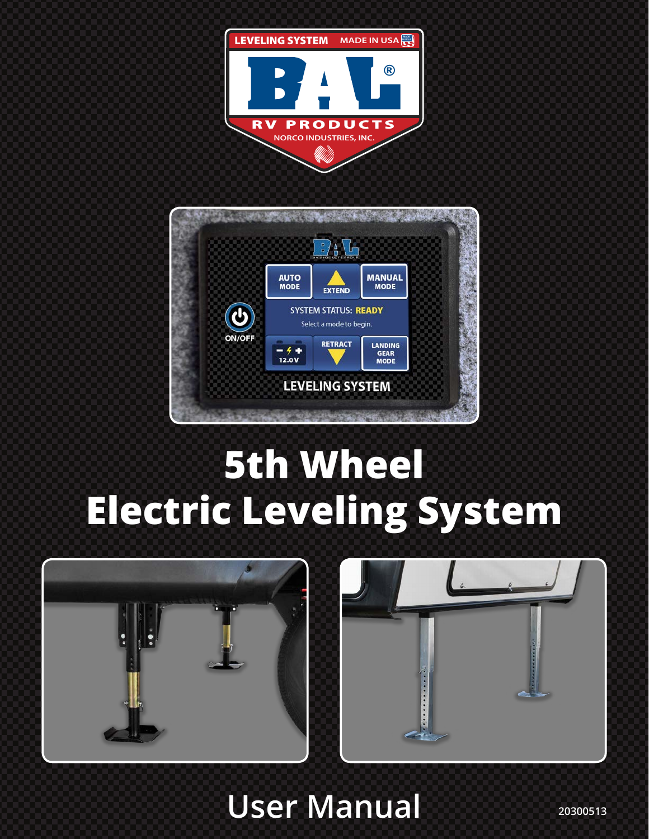



# **5th Wheel Electric Leveling System**





## **User Manual**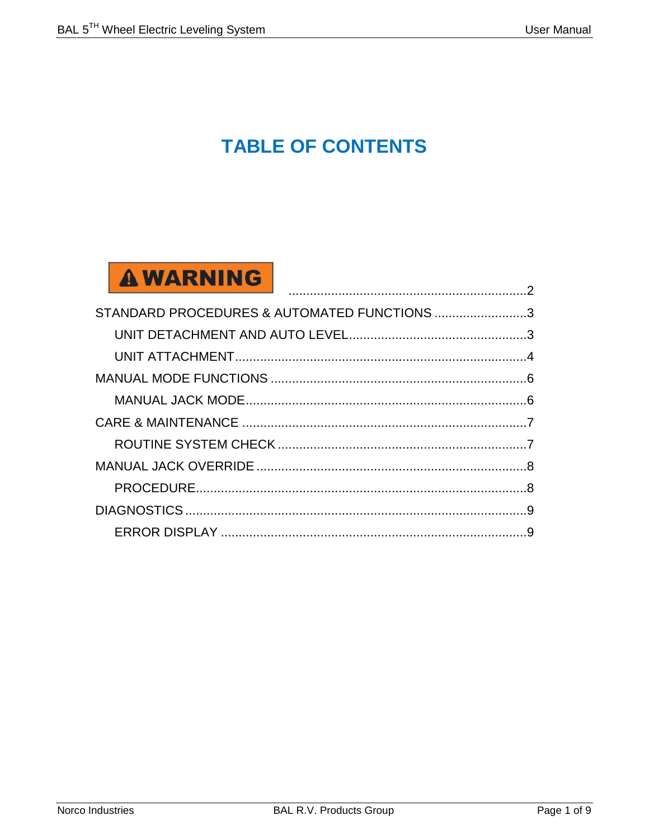## **TABLE OF CONTENTS**



| STANDARD PROCEDURES & AUTOMATED FUNCTIONS 3 |  |
|---------------------------------------------|--|
|                                             |  |
|                                             |  |
|                                             |  |
|                                             |  |
|                                             |  |
|                                             |  |
|                                             |  |
|                                             |  |
|                                             |  |
|                                             |  |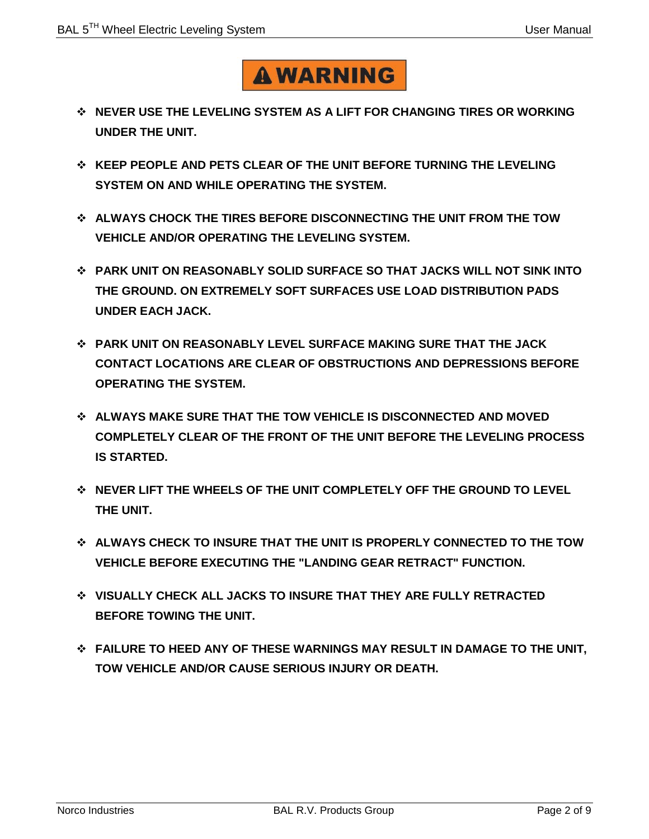## **A WARNING**

- <span id="page-2-0"></span> **NEVER USE THE LEVELING SYSTEM AS A LIFT FOR CHANGING TIRES OR WORKING UNDER THE UNIT.**
- **KEEP PEOPLE AND PETS CLEAR OF THE UNIT BEFORE TURNING THE LEVELING SYSTEM ON AND WHILE OPERATING THE SYSTEM.**
- **ALWAYS CHOCK THE TIRES BEFORE DISCONNECTING THE UNIT FROM THE TOW VEHICLE AND/OR OPERATING THE LEVELING SYSTEM.**
- **PARK UNIT ON REASONABLY SOLID SURFACE SO THAT JACKS WILL NOT SINK INTO THE GROUND. ON EXTREMELY SOFT SURFACES USE LOAD DISTRIBUTION PADS UNDER EACH JACK.**
- **PARK UNIT ON REASONABLY LEVEL SURFACE MAKING SURE THAT THE JACK CONTACT LOCATIONS ARE CLEAR OF OBSTRUCTIONS AND DEPRESSIONS BEFORE OPERATING THE SYSTEM.**
- **ALWAYS MAKE SURE THAT THE TOW VEHICLE IS DISCONNECTED AND MOVED COMPLETELY CLEAR OF THE FRONT OF THE UNIT BEFORE THE LEVELING PROCESS IS STARTED.**
- **NEVER LIFT THE WHEELS OF THE UNIT COMPLETELY OFF THE GROUND TO LEVEL THE UNIT.**
- **ALWAYS CHECK TO INSURE THAT THE UNIT IS PROPERLY CONNECTED TO THE TOW VEHICLE BEFORE EXECUTING THE "LANDING GEAR RETRACT" FUNCTION.**
- **VISUALLY CHECK ALL JACKS TO INSURE THAT THEY ARE FULLY RETRACTED BEFORE TOWING THE UNIT.**
- **FAILURE TO HEED ANY OF THESE WARNINGS MAY RESULT IN DAMAGE TO THE UNIT, TOW VEHICLE AND/OR CAUSE SERIOUS INJURY OR DEATH.**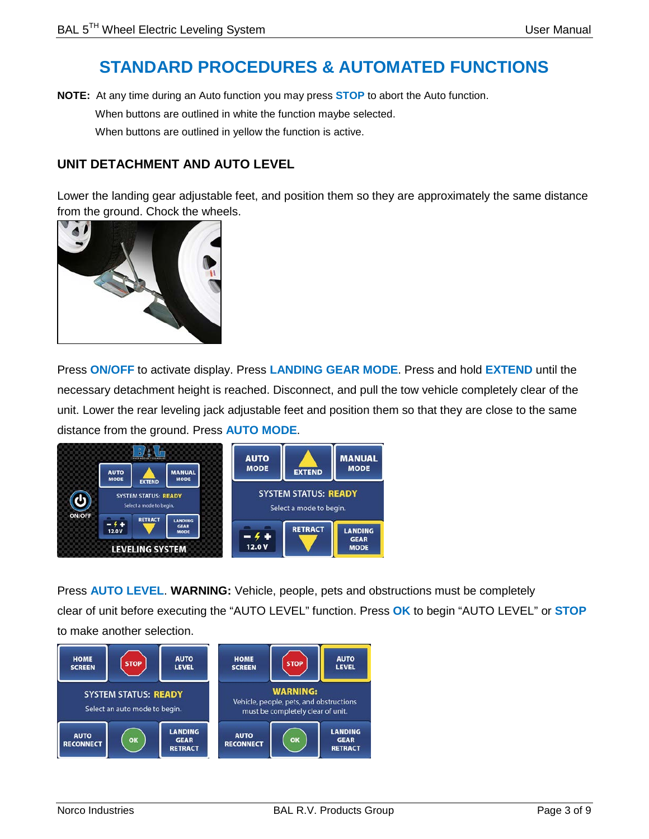## **STANDARD PROCEDURES & AUTOMATED FUNCTIONS**

<span id="page-3-0"></span>**NOTE:** At any time during an Auto function you may press **STOP** to abort the Auto function. When buttons are outlined in white the function maybe selected. When buttons are outlined in yellow the function is active.

#### <span id="page-3-1"></span>**UNIT DETACHMENT AND AUTO LEVEL**

Lower the landing gear adjustable feet, and position them so they are approximately the same distance from the ground. Chock the wheels.



Press **ON/OFF** to activate display. Press **LANDING GEAR MODE**. Press and hold **EXTEND** until the necessary detachment height is reached. Disconnect, and pull the tow vehicle completely clear of the unit. Lower the rear leveling jack adjustable feet and position them so that they are close to the same distance from the ground. Press **AUTO MODE**.



Press **AUTO LEVEL**. **WARNING:** Vehicle, people, pets and obstructions must be completely clear of unit before executing the "AUTO LEVEL" function. Press **OK** to begin "AUTO LEVEL" or **STOP** to make another selection.

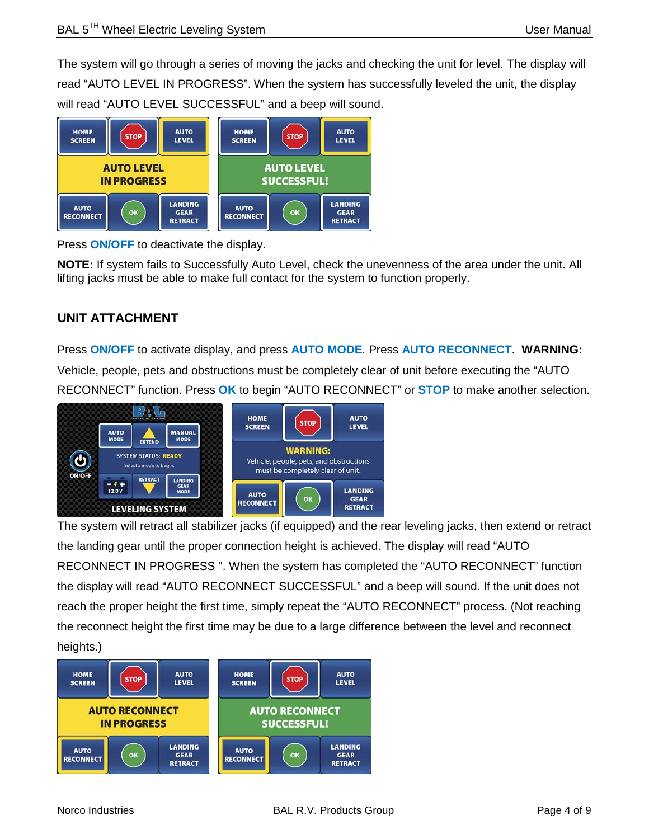The system will go through a series of moving the jacks and checking the unit for level. The display will read "AUTO LEVEL IN PROGRESS". When the system has successfully leveled the unit, the display will read "AUTO LEVEL SUCCESSFUL" and a beep will sound.



Press **ON/OFF** to deactivate the display.

**NOTE:** If system fails to Successfully Auto Level, check the unevenness of the area under the unit. All lifting jacks must be able to make full contact for the system to function properly.

#### <span id="page-4-0"></span>**UNIT ATTACHMENT**

Press **ON/OFF** to activate display, and press **AUTO MODE**. Press **AUTO RECONNECT**. **WARNING:**  Vehicle, people, pets and obstructions must be completely clear of unit before executing the "AUTO RECONNECT" function. Press **OK** to begin "AUTO RECONNECT" or **STOP** to make another selection.



The system will retract all stabilizer jacks (if equipped) and the rear leveling jacks, then extend or retract the landing gear until the proper connection height is achieved. The display will read "AUTO RECONNECT IN PROGRESS ". When the system has completed the "AUTO RECONNECT" function the display will read "AUTO RECONNECT SUCCESSFUL" and a beep will sound. If the unit does not reach the proper height the first time, simply repeat the "AUTO RECONNECT" process. (Not reaching the reconnect height the first time may be due to a large difference between the level and reconnect heights.)

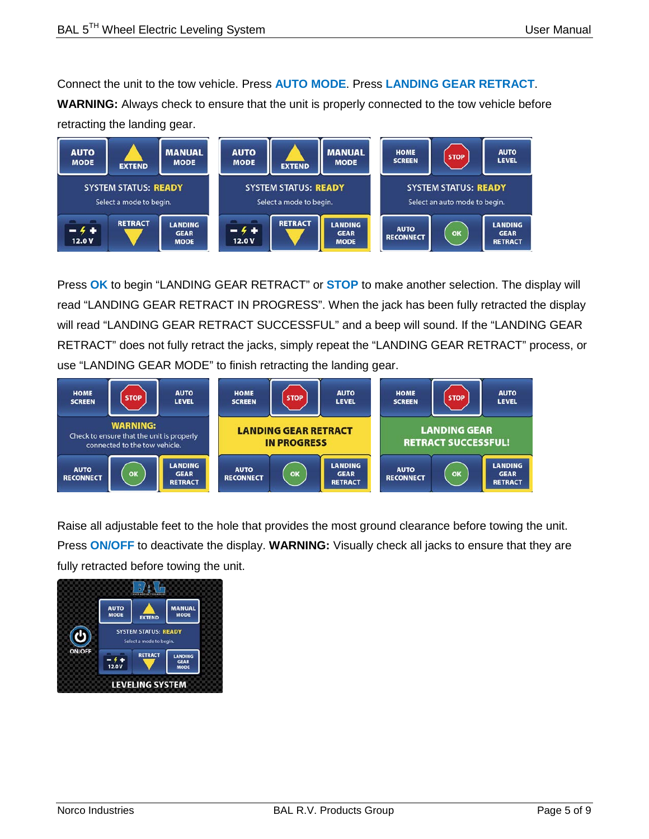Connect the unit to the tow vehicle. Press **AUTO MODE**. Press **LANDING GEAR RETRACT**. **WARNING:** Always check to ensure that the unit is properly connected to the tow vehicle before retracting the landing gear.



Press **OK** to begin "LANDING GEAR RETRACT" or **STOP** to make another selection. The display will read "LANDING GEAR RETRACT IN PROGRESS". When the jack has been fully retracted the display will read "LANDING GEAR RETRACT SUCCESSFUL" and a beep will sound. If the "LANDING GEAR RETRACT" does not fully retract the jacks, simply repeat the "LANDING GEAR RETRACT" process, or use "LANDING GEAR MODE" to finish retracting the landing gear.



Raise all adjustable feet to the hole that provides the most ground clearance before towing the unit. Press **ON/OFF** to deactivate the display. **WARNING:** Visually check all jacks to ensure that they are fully retracted before towing the unit.

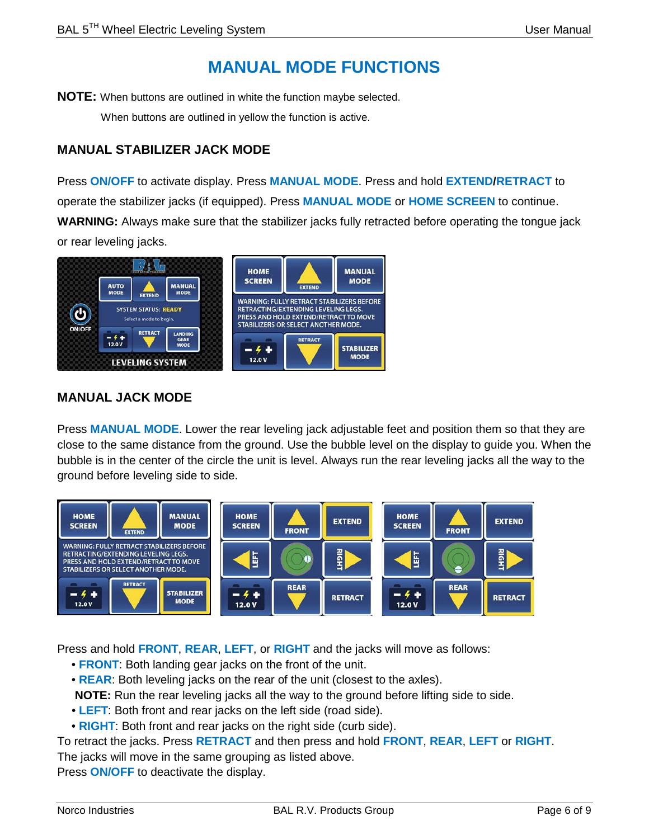### **MANUAL MODE FUNCTIONS**

<span id="page-6-0"></span>**NOTE:** When buttons are outlined in white the function maybe selected.

When buttons are outlined in yellow the function is active.

#### <span id="page-6-1"></span>**MANUAL STABILIZER JACK MODE**

Press **ON/OFF** to activate display. Press **MANUAL MODE**. Press and hold **EXTEND/RETRACT** to operate the stabilizer jacks (if equipped). Press **MANUAL MODE** or **HOME SCREEN** to continue. **WARNING:** Always make sure that the stabilizer jacks fully retracted before operating the tongue jack or rear leveling jacks.



#### **MANUAL JACK MODE**

Press **MANUAL MODE**. Lower the rear leveling jack adjustable feet and position them so that they are close to the same distance from the ground. Use the bubble level on the display to guide you. When the bubble is in the center of the circle the unit is level. Always run the rear leveling jacks all the way to the ground before leveling side to side.



Press and hold **FRONT**, **REAR**, **LEFT**, or **RIGHT** and the jacks will move as follows:

- **FRONT**: Both landing gear jacks on the front of the unit.
- **REAR**: Both leveling jacks on the rear of the unit (closest to the axles). **NOTE:** Run the rear leveling jacks all the way to the ground before lifting side to side.
- **LEFT**: Both front and rear jacks on the left side (road side).
- <span id="page-6-2"></span>• **RIGHT**: Both front and rear jacks on the right side (curb side).

To retract the jacks. Press **RETRACT** and then press and hold **FRONT**, **REAR**, **LEFT** or **RIGHT**. The jacks will move in the same grouping as listed above.

Press **ON/OFF** to deactivate the display.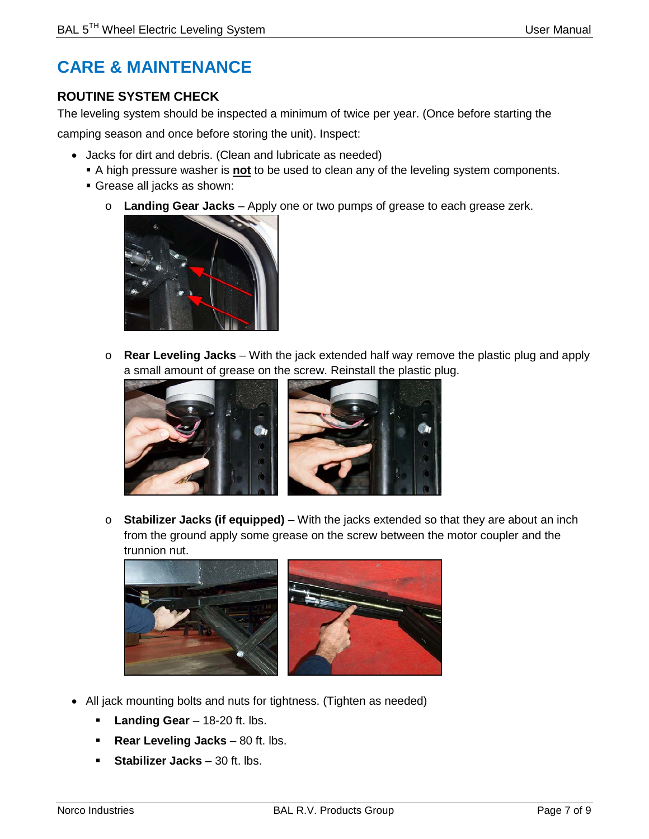## **CARE & MAINTENANCE**

#### <span id="page-7-0"></span>**ROUTINE SYSTEM CHECK**

The leveling system should be inspected a minimum of twice per year. (Once before starting the

camping season and once before storing the unit). Inspect:

- Jacks for dirt and debris. (Clean and lubricate as needed)
	- A high pressure washer is **not** to be used to clean any of the leveling system components.
	- Grease all jacks as shown:
		- o **Landing Gear Jacks** Apply one or two pumps of grease to each grease zerk.



o **Rear Leveling Jacks** – With the jack extended half way remove the plastic plug and apply a small amount of grease on the screw. Reinstall the plastic plug.



o **Stabilizer Jacks (if equipped)** – With the jacks extended so that they are about an inch from the ground apply some grease on the screw between the motor coupler and the trunnion nut.



- <span id="page-7-1"></span>• All jack mounting bolts and nuts for tightness. (Tighten as needed)
	- **Landing Gear** 18-20 ft. lbs.
	- **Rear Leveling Jacks** 80 ft. lbs.
	- **Stabilizer Jacks** 30 ft. lbs.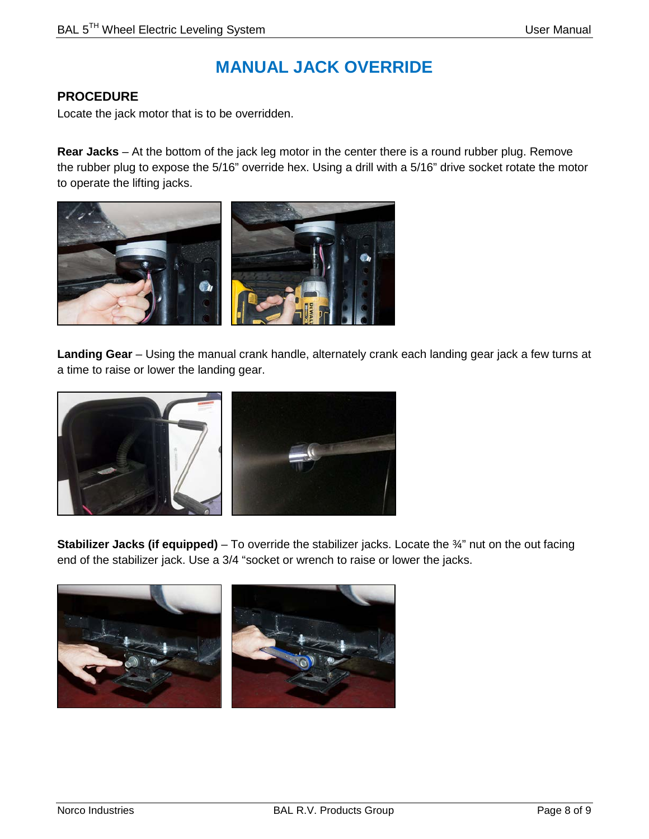## **MANUAL JACK OVERRIDE**

#### <span id="page-8-0"></span>**PROCEDURE**

Locate the jack motor that is to be overridden.

**Rear Jacks** – At the bottom of the jack leg motor in the center there is a round rubber plug. Remove the rubber plug to expose the 5/16" override hex. Using a drill with a 5/16" drive socket rotate the motor to operate the lifting jacks.



**Landing Gear** – Using the manual crank handle, alternately crank each landing gear jack a few turns at a time to raise or lower the landing gear.



<span id="page-8-1"></span>**Stabilizer Jacks (if equipped)** – To override the stabilizer jacks. Locate the ¾" nut on the out facing end of the stabilizer jack. Use a 3/4 "socket or wrench to raise or lower the jacks.

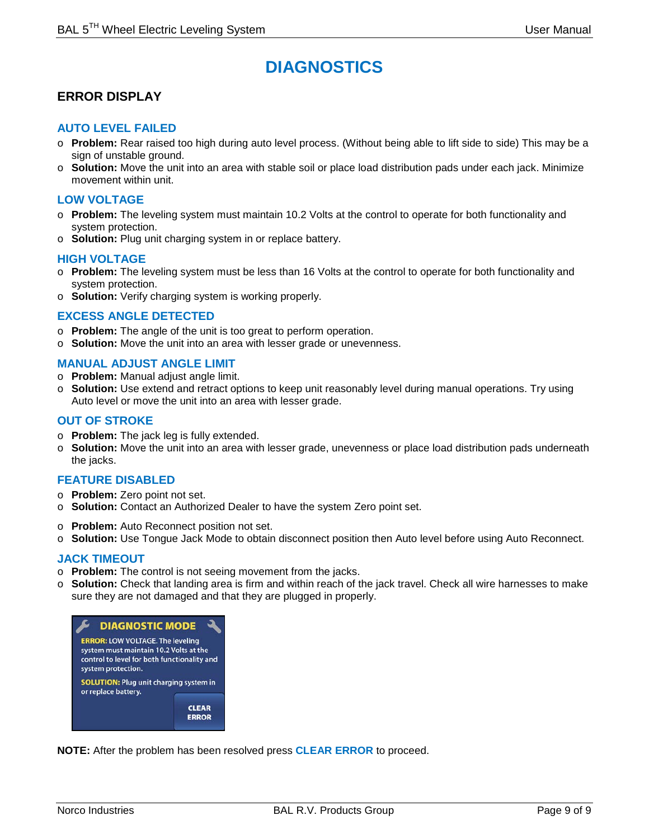## **DIAGNOSTICS**

#### <span id="page-9-0"></span>**ERROR DISPLAY**

#### **AUTO LEVEL FAILED**

- o **Problem:** Rear raised too high during auto level process. (Without being able to lift side to side) This may be a sign of unstable ground.
- o **Solution:** Move the unit into an area with stable soil or place load distribution pads under each jack. Minimize movement within unit.

#### **LOW VOLTAGE**

- o **Problem:** The leveling system must maintain 10.2 Volts at the control to operate for both functionality and system protection.
- o **Solution:** Plug unit charging system in or replace battery.

#### **HIGH VOLTAGE**

- o **Problem:** The leveling system must be less than 16 Volts at the control to operate for both functionality and system protection.
- o **Solution:** Verify charging system is working properly.

#### **EXCESS ANGLE DETECTED**

- o **Problem:** The angle of the unit is too great to perform operation.
- o **Solution:** Move the unit into an area with lesser grade or unevenness.

#### **MANUAL ADJUST ANGLE LIMIT**

- o **Problem:** Manual adjust angle limit.
- o **Solution:** Use extend and retract options to keep unit reasonably level during manual operations. Try using Auto level or move the unit into an area with lesser grade.

#### **OUT OF STROKE**

- o **Problem:** The jack leg is fully extended.
- o **Solution:** Move the unit into an area with lesser grade, unevenness or place load distribution pads underneath the jacks.

#### **FEATURE DISABLED**

- o **Problem:** Zero point not set.
- o **Solution:** Contact an Authorized Dealer to have the system Zero point set.
- o **Problem:** Auto Reconnect position not set.
- o **Solution:** Use Tongue Jack Mode to obtain disconnect position then Auto level before using Auto Reconnect.

#### **JACK TIMEOUT**

- o **Problem:** The control is not seeing movement from the jacks.
- o **Solution:** Check that landing area is firm and within reach of the jack travel. Check all wire harnesses to make sure they are not damaged and that they are plugged in properly.

| <b>DIAGNOSTIC MODE</b>                                                                                                                                 |                              |  |
|--------------------------------------------------------------------------------------------------------------------------------------------------------|------------------------------|--|
| <b>ERROR: LOW VOLTAGE. The leveling</b><br>system must maintain 10.2 Volts at the<br>control to level for both functionality and<br>system protection. |                              |  |
| <b>SOLUTION: Plug unit charging system in</b><br>or replace battery.                                                                                   |                              |  |
|                                                                                                                                                        | <b>CLEAR</b><br><b>ERROR</b> |  |

**NOTE:** After the problem has been resolved press **CLEAR ERROR** to proceed.